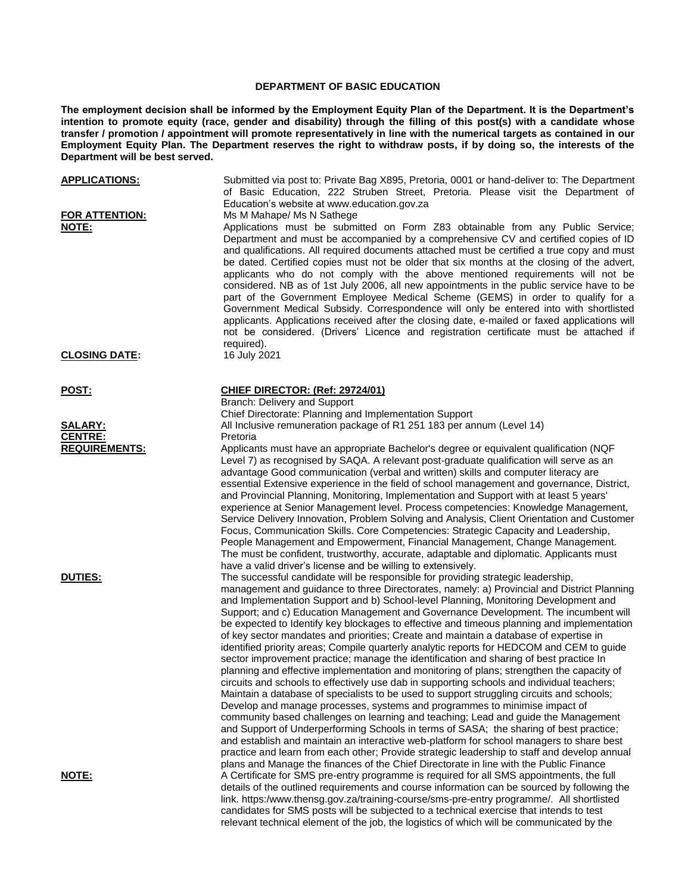## **DEPARTMENT OF BASIC EDUCATION**

**The employment decision shall be informed by the Employment Equity Plan of the Department. It is the Department's intention to promote equity (race, gender and disability) through the filling of this post(s) with a candidate whose transfer / promotion / appointment will promote representatively in line with the numerical targets as contained in our Employment Equity Plan. The Department reserves the right to withdraw posts, if by doing so, the interests of the Department will be best served.**

| <b>APPLICATIONS:</b><br>FOR ATTENTION: | Submitted via post to: Private Bag X895, Pretoria, 0001 or hand-deliver to: The Department<br>of Basic Education, 222 Struben Street, Pretoria. Please visit the Department of<br>Education's website at www.education.gov.za                                                                                                                                                                                                                                                                                                                                                                                                                                                                                                                                                                                                                                                                                                                                                                                                                                                                                                                                                                                                                                                                                                                                                                                                                                                                                                                                                          |
|----------------------------------------|----------------------------------------------------------------------------------------------------------------------------------------------------------------------------------------------------------------------------------------------------------------------------------------------------------------------------------------------------------------------------------------------------------------------------------------------------------------------------------------------------------------------------------------------------------------------------------------------------------------------------------------------------------------------------------------------------------------------------------------------------------------------------------------------------------------------------------------------------------------------------------------------------------------------------------------------------------------------------------------------------------------------------------------------------------------------------------------------------------------------------------------------------------------------------------------------------------------------------------------------------------------------------------------------------------------------------------------------------------------------------------------------------------------------------------------------------------------------------------------------------------------------------------------------------------------------------------------|
| <u>NOTE:</u>                           | Ms M Mahape/ Ms N Sathege<br>Applications must be submitted on Form Z83 obtainable from any Public Service;<br>Department and must be accompanied by a comprehensive CV and certified copies of ID<br>and qualifications. All required documents attached must be certified a true copy and must<br>be dated. Certified copies must not be older that six months at the closing of the advert,<br>applicants who do not comply with the above mentioned requirements will not be<br>considered. NB as of 1st July 2006, all new appointments in the public service have to be<br>part of the Government Employee Medical Scheme (GEMS) in order to qualify for a<br>Government Medical Subsidy. Correspondence will only be entered into with shortlisted<br>applicants. Applications received after the closing date, e-mailed or faxed applications will<br>not be considered. (Drivers' Licence and registration certificate must be attached if<br>required).                                                                                                                                                                                                                                                                                                                                                                                                                                                                                                                                                                                                                      |
| <b>CLOSING DATE:</b>                   | 16 July 2021                                                                                                                                                                                                                                                                                                                                                                                                                                                                                                                                                                                                                                                                                                                                                                                                                                                                                                                                                                                                                                                                                                                                                                                                                                                                                                                                                                                                                                                                                                                                                                           |
| <b>POST:</b>                           | <b>CHIEF DIRECTOR: (Ref: 29724/01)</b><br>Branch: Delivery and Support                                                                                                                                                                                                                                                                                                                                                                                                                                                                                                                                                                                                                                                                                                                                                                                                                                                                                                                                                                                                                                                                                                                                                                                                                                                                                                                                                                                                                                                                                                                 |
|                                        | Chief Directorate: Planning and Implementation Support                                                                                                                                                                                                                                                                                                                                                                                                                                                                                                                                                                                                                                                                                                                                                                                                                                                                                                                                                                                                                                                                                                                                                                                                                                                                                                                                                                                                                                                                                                                                 |
| <b>SALARY:</b><br><b>CENTRE:</b>       | All Inclusive remuneration package of R1 251 183 per annum (Level 14)                                                                                                                                                                                                                                                                                                                                                                                                                                                                                                                                                                                                                                                                                                                                                                                                                                                                                                                                                                                                                                                                                                                                                                                                                                                                                                                                                                                                                                                                                                                  |
|                                        | Pretoria                                                                                                                                                                                                                                                                                                                                                                                                                                                                                                                                                                                                                                                                                                                                                                                                                                                                                                                                                                                                                                                                                                                                                                                                                                                                                                                                                                                                                                                                                                                                                                               |
| <b>REQUIREMENTS:</b>                   | Applicants must have an appropriate Bachelor's degree or equivalent qualification (NQF)<br>Level 7) as recognised by SAQA. A relevant post-graduate qualification will serve as an<br>advantage Good communication (verbal and written) skills and computer literacy are<br>essential Extensive experience in the field of school management and governance, District,<br>and Provincial Planning, Monitoring, Implementation and Support with at least 5 years'<br>experience at Senior Management level. Process competencies: Knowledge Management,<br>Service Delivery Innovation, Problem Solving and Analysis, Client Orientation and Customer<br>Focus, Communication Skills. Core Competencies: Strategic Capacity and Leadership,<br>People Management and Empowerment, Financial Management, Change Management.<br>The must be confident, trustworthy, accurate, adaptable and diplomatic. Applicants must<br>have a valid driver's license and be willing to extensively.                                                                                                                                                                                                                                                                                                                                                                                                                                                                                                                                                                                                   |
| <b>DUTIES:</b>                         | The successful candidate will be responsible for providing strategic leadership,<br>management and guidance to three Directorates, namely: a) Provincial and District Planning<br>and Implementation Support and b) School-level Planning, Monitoring Development and<br>Support; and c) Education Management and Governance Development. The incumbent will<br>be expected to Identify key blockages to effective and timeous planning and implementation<br>of key sector mandates and priorities; Create and maintain a database of expertise in<br>identified priority areas; Compile quarterly analytic reports for HEDCOM and CEM to guide<br>sector improvement practice; manage the identification and sharing of best practice In<br>planning and effective implementation and monitoring of plans; strengthen the capacity of<br>circuits and schools to effectively use dab in supporting schools and individual teachers;<br>Maintain a database of specialists to be used to support struggling circuits and schools;<br>Develop and manage processes, systems and programmes to minimise impact of<br>community based challenges on learning and teaching; Lead and guide the Management<br>and Support of Underperforming Schools in terms of SASA; the sharing of best practice;<br>and establish and maintain an interactive web-platform for school managers to share best<br>practice and learn from each other; Provide strategic leadership to staff and develop annual<br>plans and Manage the finances of the Chief Directorate in line with the Public Finance |
| <b>NOTE:</b>                           | A Certificate for SMS pre-entry programme is required for all SMS appointments, the full<br>details of the outlined requirements and course information can be sourced by following the<br>link. https:/www.thensg.gov.za/training-course/sms-pre-entry programme/. All shortlisted<br>candidates for SMS posts will be subjected to a technical exercise that intends to test<br>relevant technical element of the job, the logistics of which will be communicated by the                                                                                                                                                                                                                                                                                                                                                                                                                                                                                                                                                                                                                                                                                                                                                                                                                                                                                                                                                                                                                                                                                                            |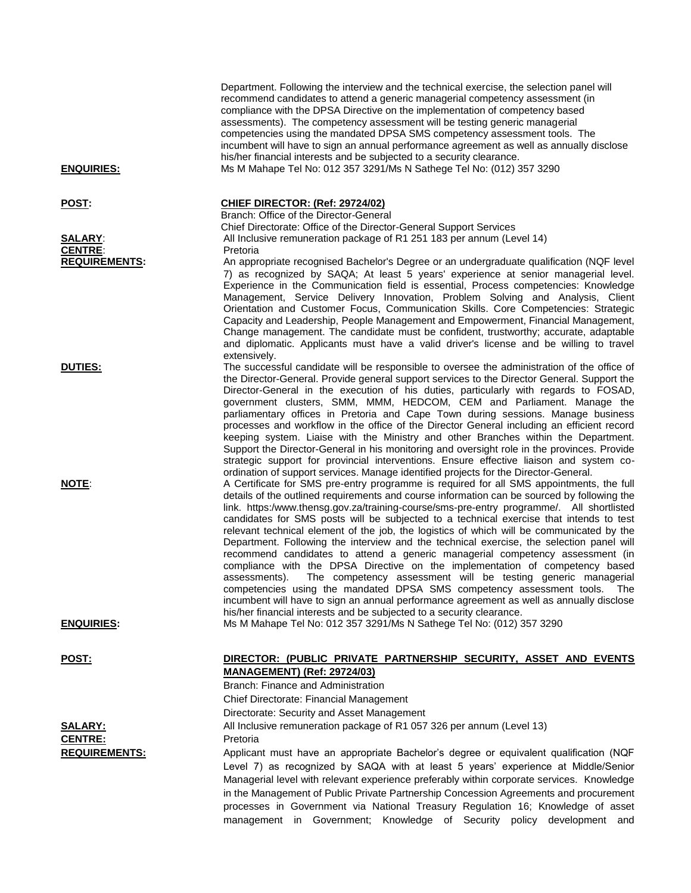| Department. Following the interview and the technical exercise, the selection panel will<br>recommend candidates to attend a generic managerial competency assessment (in<br>compliance with the DPSA Directive on the implementation of competency based<br>assessments). The competency assessment will be testing generic managerial<br>competencies using the mandated DPSA SMS competency assessment tools. The<br>incumbent will have to sign an annual performance agreement as well as annually disclose<br>his/her financial interests and be subjected to a security clearance.<br>Ms M Mahape Tel No: 012 357 3291/Ms N Sathege Tel No: (012) 357 3290                                                                                                                                                                                                                                                                                                                                                                                                              |
|--------------------------------------------------------------------------------------------------------------------------------------------------------------------------------------------------------------------------------------------------------------------------------------------------------------------------------------------------------------------------------------------------------------------------------------------------------------------------------------------------------------------------------------------------------------------------------------------------------------------------------------------------------------------------------------------------------------------------------------------------------------------------------------------------------------------------------------------------------------------------------------------------------------------------------------------------------------------------------------------------------------------------------------------------------------------------------|
|                                                                                                                                                                                                                                                                                                                                                                                                                                                                                                                                                                                                                                                                                                                                                                                                                                                                                                                                                                                                                                                                                |
| <b>CHIEF DIRECTOR: (Ref: 29724/02)</b><br>Branch: Office of the Director-General<br>Chief Directorate: Office of the Director-General Support Services                                                                                                                                                                                                                                                                                                                                                                                                                                                                                                                                                                                                                                                                                                                                                                                                                                                                                                                         |
| All Inclusive remuneration package of R1 251 183 per annum (Level 14)<br>Pretoria                                                                                                                                                                                                                                                                                                                                                                                                                                                                                                                                                                                                                                                                                                                                                                                                                                                                                                                                                                                              |
| An appropriate recognised Bachelor's Degree or an undergraduate qualification (NQF level<br>7) as recognized by SAQA; At least 5 years' experience at senior managerial level.<br>Experience in the Communication field is essential, Process competencies: Knowledge<br>Management, Service Delivery Innovation, Problem Solving and Analysis, Client<br>Orientation and Customer Focus, Communication Skills. Core Competencies: Strategic<br>Capacity and Leadership, People Management and Empowerment, Financial Management,<br>Change management. The candidate must be confident, trustworthy; accurate, adaptable<br>and diplomatic. Applicants must have a valid driver's license and be willing to travel<br>extensively.                                                                                                                                                                                                                                                                                                                                            |
| The successful candidate will be responsible to oversee the administration of the office of<br>the Director-General. Provide general support services to the Director General. Support the<br>Director-General in the execution of his duties, particularly with regards to FOSAD,<br>government clusters, SMM, MMM, HEDCOM, CEM and Parliament. Manage the<br>parliamentary offices in Pretoria and Cape Town during sessions. Manage business<br>processes and workflow in the office of the Director General including an efficient record<br>keeping system. Liaise with the Ministry and other Branches within the Department.<br>Support the Director-General in his monitoring and oversight role in the provinces. Provide<br>strategic support for provincial interventions. Ensure effective liaison and system co-<br>ordination of support services. Manage identified projects for the Director-General.                                                                                                                                                          |
| A Certificate for SMS pre-entry programme is required for all SMS appointments, the full<br>details of the outlined requirements and course information can be sourced by following the<br>link. https:/www.thensg.gov.za/training-course/sms-pre-entry programme/. All shortlisted<br>candidates for SMS posts will be subjected to a technical exercise that intends to test<br>relevant technical element of the job, the logistics of which will be communicated by the<br>Department. Following the interview and the technical exercise, the selection panel will<br>recommend candidates to attend a generic managerial competency assessment (in<br>compliance with the DPSA Directive on the implementation of competency based<br>The competency assessment will be testing generic managerial<br>assessments).<br>competencies using the mandated DPSA SMS competency assessment tools.<br>The<br>incumbent will have to sign an annual performance agreement as well as annually disclose<br>his/her financial interests and be subjected to a security clearance. |
| Ms M Mahape Tel No: 012 357 3291/Ms N Sathege Tel No: (012) 357 3290                                                                                                                                                                                                                                                                                                                                                                                                                                                                                                                                                                                                                                                                                                                                                                                                                                                                                                                                                                                                           |
|                                                                                                                                                                                                                                                                                                                                                                                                                                                                                                                                                                                                                                                                                                                                                                                                                                                                                                                                                                                                                                                                                |
| DIRECTOR: (PUBLIC PRIVATE PARTNERSHIP SECURITY, ASSET AND EVENTS<br><b>MANAGEMENT) (Ref: 29724/03)</b><br>Branch: Finance and Administration<br>Chief Directorate: Financial Management<br>Directorate: Security and Asset Management                                                                                                                                                                                                                                                                                                                                                                                                                                                                                                                                                                                                                                                                                                                                                                                                                                          |
| All Inclusive remuneration package of R1 057 326 per annum (Level 13)                                                                                                                                                                                                                                                                                                                                                                                                                                                                                                                                                                                                                                                                                                                                                                                                                                                                                                                                                                                                          |
| Pretoria                                                                                                                                                                                                                                                                                                                                                                                                                                                                                                                                                                                                                                                                                                                                                                                                                                                                                                                                                                                                                                                                       |
| Applicant must have an appropriate Bachelor's degree or equivalent qualification (NQF<br>Level 7) as recognized by SAQA with at least 5 years' experience at Middle/Senior<br>Managerial level with relevant experience preferably within corporate services. Knowledge<br>in the Management of Public Private Partnership Concession Agreements and procurement<br>processes in Government via National Treasury Regulation 16; Knowledge of asset<br>management in Government; Knowledge of Security policy development and                                                                                                                                                                                                                                                                                                                                                                                                                                                                                                                                                  |
|                                                                                                                                                                                                                                                                                                                                                                                                                                                                                                                                                                                                                                                                                                                                                                                                                                                                                                                                                                                                                                                                                |